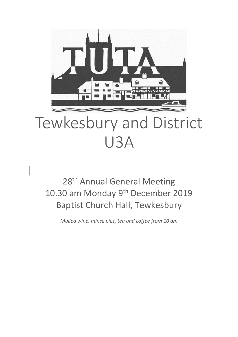

# Tewkesbury and District U3A

# 28<sup>th</sup> Annual General Meeting 10.30 am Monday 9<sup>th</sup> December 2019 Baptist Church Hall, Tewkesbury

*Mulled wine, mince pies, tea and coffee from 10 am*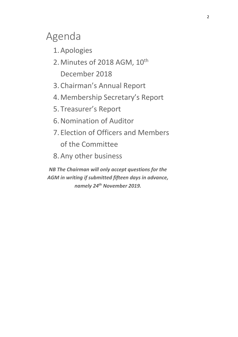# Agenda

- 1.Apologies
- 2. Minutes of 2018 AGM, 10<sup>th</sup> December 2018
- 3. Chairman's Annual Report
- 4.Membership Secretary's Report
- 5. Treasurer's Report
- 6.Nomination of Auditor
- 7. Election of Officers and Members of the Committee
- 8.Any other business

*NB The Chairman will only accept questions for the AGM in writing if submitted fifteen days in advance, namely 24 th November 2019.*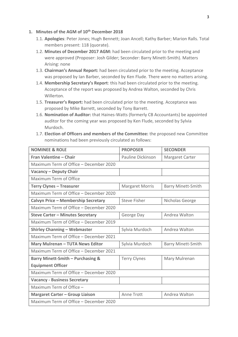### **1. Minutes of the AGM of 10th December 2018**

- 1.1. **Apologies**: Peter Jones; Hugh Bennett; Joan Ancell; Kathy Barber; Marion Ralls. Total members present: 118 (quorate).
- 1.2. **Minutes of December 2017 AGM:** had been circulated prior to the meeting and were approved (Proposer: Josh Gilder; Seconder: Barry Minett-Smith). Matters Arising: none
- 1.3. **Chairman's Annual Report:** had been circulated prior to the meeting. Acceptance was proposed by Ian Barber, seconded by Ken Flude. There were no matters arising.
- 1.4. **Membership Secretary's Report**: this had been circulated prior to the meeting. Acceptance of the report was proposed by Andrea Walton, seconded by Chris Willerton.
- 1.5. **Treasurer's Report:** had been circulated prior to the meeting. Acceptance was proposed by Mike Barrett, seconded by Tony Barrett.
- 1.6. **Nomination of Auditor:** that Haines-Watts (formerly CB Accountants) be appointed auditor for the coming year was proposed by Ken Flude, seconded by Sylvia Murdoch.
- 1.7. **Election of Officers and members of the Committee:** the proposed new Committee nominations had been previously circulated as follows:

| <b>NOMINEE &amp; ROLE</b>                  | <b>PROPOSER</b>          | <b>SECONDER</b>           |  |
|--------------------------------------------|--------------------------|---------------------------|--|
| Fran Valentine - Chair                     | <b>Pauline Dickinson</b> | Margaret Carter           |  |
| Maximum Term of Office - December 2020     |                          |                           |  |
| <b>Vacancy - Deputy Chair</b>              |                          |                           |  |
| Maximum Term of Office                     |                          |                           |  |
| <b>Terry Clynes - Treasurer</b>            | <b>Margaret Morris</b>   | <b>Barry Minett-Smith</b> |  |
| Maximum Term of Office - December 2020     |                          |                           |  |
| <b>Calvyn Price - Membership Secretary</b> | <b>Steve Fisher</b>      | Nicholas George           |  |
| Maximum Term of Office - December 2020     |                          |                           |  |
| <b>Steve Carter - Minutes Secretary</b>    | George Day               | Andrea Walton             |  |
| Maximum Term of Office - December 2019     |                          |                           |  |
| <b>Shirley Channing - Webmaster</b>        | Sylvia Murdoch           | Andrea Walton             |  |
| Maximum Term of Office - December 2021     |                          |                           |  |
| <b>Mary Mulrenan - TUTA News Editor</b>    | Sylvia Murdoch           | <b>Barry Minett-Smith</b> |  |
| Maximum Term of Office - December 2021     |                          |                           |  |
| Barry Minett-Smith - Purchasing &          | <b>Terry Clynes</b>      | Mary Mulrenan             |  |
| <b>Equipment Officer</b>                   |                          |                           |  |
| Maximum Term of Office - December 2020     |                          |                           |  |
| <b>Vacancy - Business Secretary</b>        |                          |                           |  |
| Maximum Term of Office -                   |                          |                           |  |
| <b>Margaret Carter - Group Liaison</b>     | <b>Anne Trott</b>        | Andrea Walton             |  |
| Maximum Term of Office - December 2020     |                          |                           |  |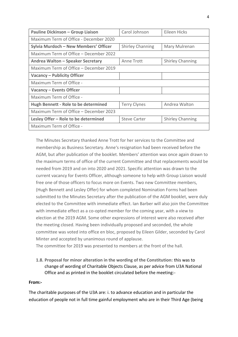| <b>Pauline Dickinson - Group Liaison</b>    | Carol Johnson           | Eileen Hicks            |  |
|---------------------------------------------|-------------------------|-------------------------|--|
| Maximum Term of Office - December 2020      |                         |                         |  |
| Sylvia Murdoch - New Members' Officer       | <b>Shirley Channing</b> | Mary Mulrenan           |  |
| Maximum Term of Office – December 2022      |                         |                         |  |
| Andrea Walton - Speaker Secretary           | Anne Trott              | <b>Shirley Channing</b> |  |
| Maximum Term of Office – December 2019      |                         |                         |  |
| Vacancy – Publicity Officer                 |                         |                         |  |
| Maximum Term of Office -                    |                         |                         |  |
| <b>Vacancy - Events Officer</b>             |                         |                         |  |
| Maximum Term of Office -                    |                         |                         |  |
| <b>Hugh Bennett - Role to be determined</b> | <b>Terry Clynes</b>     | Andrea Walton           |  |
| Maximum Term of Office - December 2023      |                         |                         |  |
| Lesley Offer - Role to be determined        | <b>Steve Carter</b>     | <b>Shirley Channing</b> |  |
| Maximum Term of Office -                    |                         |                         |  |

The Minutes Secretary thanked Anne Trott for her services to the Committee and membership as Business Secretary. Anne's resignation had been received before the AGM, but after publication of the booklet. Members' attention was once again drawn to the maximum terms of office of the current Committee and that replacements would be needed from 2019 and on into 2020 and 2021. Specific attention was drawn to the current vacancy for Events Officer, although someone to help with Group Liaison would free one of those officers to focus more on Events. Two new Committee members, (Hugh Bennett and Lesley Offer) for whom completed Nomination Forms had been submitted to the Minutes Secretary after the publication of the AGM booklet, were duly elected to the Committee with immediate effect. Ian Barber will also join the Committee with immediate effect as a co-opted member for the coming year, with a view to election at the 2019 AGM. Some other expressions of interest were also received after the meeting closed. Having been individually proposed and seconded, the whole committee was voted into office en bloc, proposed by Eileen Gilder, seconded by Carol Minter and accepted by unanimous round of applause.

The committee for 2019 was presented to members at the front of the hall.

**1.8. Proposal for minor alteration in the wording of the Constitution:** this was to change of wording of Charitable Objects Clause, as per advice from U3A National Office and as printed in the booklet circulated before the meeting:-

### **From:-**

The charitable purposes of the U3A are: i. to advance education and in particular the education of people not in full time gainful employment who are in their Third Age (being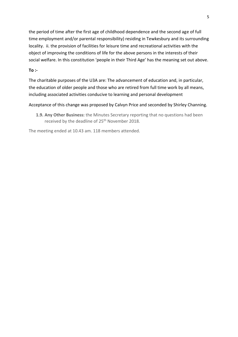the period of time after the first age of childhood dependence and the second age of full time employment and/or parental responsibility) residing in Tewkesbury and its surrounding locality. ii. the provision of facilities for leisure time and recreational activities with the object of improving the conditions of life for the above persons in the interests of their social welfare. In this constitution 'people in their Third Age' has the meaning set out above.

#### **To :-**

The charitable purposes of the U3A are: The advancement of education and, in particular, the education of older people and those who are retired from full time work by all means, including associated activities conducive to learning and personal development

Acceptance of this change was proposed by Calvyn Price and seconded by Shirley Channing.

**1.9. Any Other Business:** the Minutes Secretary reporting that no questions had been received by the deadline of 25<sup>th</sup> November 2018.

The meeting ended at 10.43 am. 118 members attended.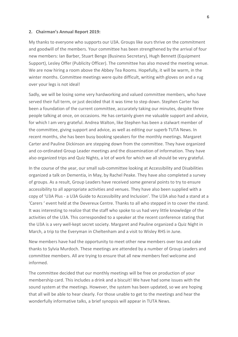#### **2. Chairman's Annual Report 2019:**

My thanks to everyone who supports our U3A. Groups like ours thrive on the commitment and goodwill of the members. Your committee has been strengthened by the arrival of four new members: Ian Barber, Stuart Benge (Business Secretary), Hugh Bennett (Equipment Support), Lesley Offer (Publicity Officer). The committee has also moved the meeting venue. We are now hiring a room above the Abbey Tea Rooms. Hopefully, it will be warm, in the winter months. Committee meetings were quite difficult, writing with gloves on and a rug over your legs is not ideal!

Sadly, we will be losing some very hardworking and valued committee members, who have served their full term, or just decided that it was time to step down. Stephen Carter has been a foundation of the current committee, accurately taking our minutes, despite three people talking at once, on occasions. He has certainly given me valuable support and advice, for which I am very grateful. Andrea Walton, like Stephen has been a stalwart member of the committee, giving support and advice, as well as editing our superb TUTA News. In recent months, she has been busy booking speakers for the monthly meetings. Margaret Carter and Pauline Dickinson are stepping down from the committee. They have organized and co-ordinated Group Leader meetings and the dissemination of information. They have also organized trips and Quiz Nights, a lot of work for which we all should be very grateful.

In the course of the year, our small sub-committee looking at Accessibility and Disabilities organized a talk on Dementia, in May, by Rachel Peake. They have also completed a survey of groups. As a result, Group Leaders have received some general points to try to ensure accessibility to all appropriate activities and venues. They have also been supplied with a copy of 'U3A Plus - a U3A Guide to Accessibility and Inclusion'. The U3A also had a stand at a 'Carers ' event held at the Devereux Centre. Thanks to all who stepped in to cover the stand. It was interesting to realize that the staff who spoke to us had very little knowledge of the activities of the U3A. This corresponded to a speaker at the recent conference stating that the U3A is a very well-kept secret society. Margaret and Pauline organized a Quiz Night in March, a trip to the Everyman in Cheltenham and a visit to Wisley RHS in June.

New members have had the opportunity to meet other new members over tea and cake thanks to Sylvia Murdoch. These meetings are attended by a number of Group Leaders and committee members. All are trying to ensure that all new members feel welcome and informed.

The committee decided that our monthly meetings will be free on production of your membership card. This includes a drink and a biscuit! We have had some issues with the sound system at the meetings. However, the system has been updated, so we are hoping that all will be able to hear clearly. For those unable to get to the meetings and hear the wonderfully informative talks, a brief synopsis will appear in TUTA News.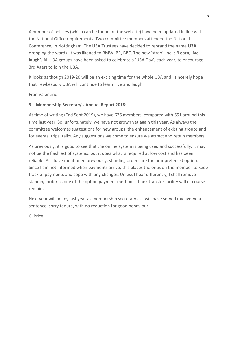A number of policies (which can be found on the website) have been updated in line with the National Office requirements. Two committee members attended the National Conference, in Nottingham. The U3A Trustees have decided to rebrand the name **U3A,** dropping the words. It was likened to BMW, BR, BBC. The new 'strap' line is **'Learn, live, laugh'.** All U3A groups have been asked to celebrate a 'U3A Day', each year, to encourage 3rd Agers to join the U3A.

It looks as though 2019-20 will be an exciting time for the whole U3A and I sincerely hope that Tewkesbury U3A will continue to learn, live and laugh.

Fran Valentine

# **3. Membership Secretary's Annual Report 2018:**

At time of writing (End Sept 2019), we have 626 members, compared with 651 around this time last year. So, unfortunately, we have not grown yet again this year. As always the committee welcomes suggestions for new groups, the enhancement of existing groups and for events, trips, talks. Any suggestions welcome to ensure we attract and retain members.

As previously, it is good to see that the online system is being used and successfully. It may not be the flashiest of systems, but it does what is required at low cost and has been reliable. As I have mentioned previously, standing orders are the non-preferred option. Since I am not informed when payments arrive, this places the onus on the member to keep track of payments and cope with any changes. Unless I hear differently, I shall remove standing order as one of the option payment methods - bank transfer facility will of course remain.

Next year will be my last year as membership secretary as I will have served my five-year sentence, sorry tenure, with no reduction for good behaviour.

C. Price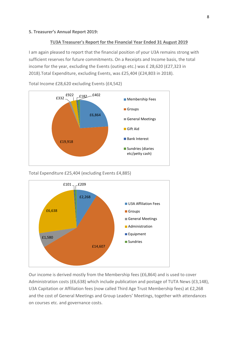#### **5. Treasurer's Annual Report 2019:**

#### **TU3A Treasurer's Report for the Financial Year Ended 31 August 2019**

I am again pleased to report that the financial position of your U3A remains strong with sufficient reserves for future commitments. On a Receipts and Income basis, the total income for the year, excluding the Events (outings etc.) was £ 28,620 (£27,323 in 2018).Total Expenditure, excluding Events, was £25,404 (£24,803 in 2018).



Total Income £28,620 excluding Events (£4,542)

Total Expenditure £25,404 (excluding Events £4,885)



Our income is derived mostly from the Membership fees (£6,864) and is used to cover Administration costs (£6,638) which include publication and postage of TUTA News (£3,148), U3A Capitation or Affiliation fees (now called Third Age Trust Membership fees) at £2,268 and the cost of General Meetings and Group Leaders' Meetings, together with attendances on courses etc. and governance costs.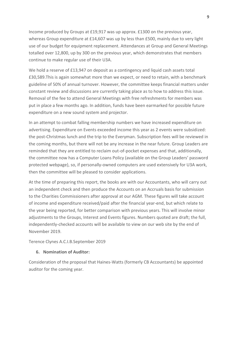Income produced by Groups at £19,917 was up approx. £1300 on the previous year, whereas Group expenditure at £14,607 was up by less than £500, mainly due to very light use of our budget for equipment replacement. Attendances at Group and General Meetings totalled over 12,800, up by 300 on the previous year, which demonstrates that members continue to make regular use of their U3A.

We hold a reserve of £13,947 on deposit as a contingency and liquid cash assets total £30,589.This is again somewhat more than we expect, or need to retain, with a benchmark guideline of 50% of annual turnover. However, the committee keeps financial matters under constant review and discussions are currently taking place as to how to address this issue. Removal of the fee to attend General Meetings with free refreshments for members was put in place a few months ago. In addition, funds have been earmarked for possible future expenditure on a new sound system and projector.

In an attempt to combat falling membership numbers we have increased expenditure on advertising. Expenditure on Events exceeded income this year as 2 events were subsidized: the post-Christmas lunch and the trip to the Everyman. Subscription fees will be reviewed in the coming months, but there will not be any increase in the near future. Group Leaders are reminded that they are entitled to reclaim out-of-pocket expenses and that, additionally, the committee now has a Computer Loans Policy (available on the Group Leaders' password protected webpage), so, if personally-owned computers are used extensively for U3A work, then the committee will be pleased to consider applications.

At the time of preparing this report, the books are with our Accountants, who will carry out an independent check and then produce the Accounts on an Accruals basis for submission to the Charities Commissioners after approval at our AGM. These figures will take account of income and expenditure received/paid after the financial year-end, but which relate to the year being reported, for better comparison with previous years. This will involve minor adjustments to the Groups, Interest and Events figures. Numbers quoted are draft; the full, independently-checked accounts will be available to view on our web site by the end of November 2019.

Terence Clynes A.C.I.B.September 2019

#### **6. Nomination of Auditor:**

Consideration of the proposal that Haines-Watts (formerly CB Accountants) be appointed auditor for the coming year.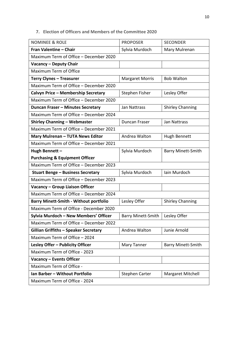## **7. Election of Officers and Members of the Committee 2020**

| <b>NOMINEE &amp; ROLE</b>                     | <b>PROPOSER</b>           | <b>SECONDER</b>           |  |
|-----------------------------------------------|---------------------------|---------------------------|--|
| Fran Valentine - Chair                        | Sylvia Murdoch            | Mary Mulrenan             |  |
| Maximum Term of Office - December 2020        |                           |                           |  |
| Vacancy - Deputy Chair                        |                           |                           |  |
| Maximum Term of Office                        |                           |                           |  |
| <b>Terry Clynes - Treasurer</b>               | <b>Margaret Morris</b>    | <b>Bob Walton</b>         |  |
| Maximum Term of Office - December 2020        |                           |                           |  |
| Calvyn Price - Membership Secretary           | Stephen Fisher            | Lesley Offer              |  |
| Maximum Term of Office - December 2020        |                           |                           |  |
| Duncan Fraser - Minutes Secretary             | Jan Nattrass              | <b>Shirley Channing</b>   |  |
| Maximum Term of Office - December 2024        |                           |                           |  |
| <b>Shirley Channing - Webmaster</b>           | Duncan Fraser             | Jan Nattrass              |  |
| Maximum Term of Office - December 2021        |                           |                           |  |
| <b>Mary Mulrenan - TUTA News Editor</b>       | Andrea Walton             | Hugh Bennett              |  |
| Maximum Term of Office - December 2021        |                           |                           |  |
| Hugh Bennett-                                 | Sylvia Murdoch            | <b>Barry Minett-Smith</b> |  |
| <b>Purchasing &amp; Equipment Officer</b>     |                           |                           |  |
| Maximum Term of Office - December 2023        |                           |                           |  |
| <b>Stuart Benge - Business Secretary</b>      | Sylvia Murdoch            | Iain Murdoch              |  |
| Maximum Term of Office - December 2023        |                           |                           |  |
| Vacancy - Group Liaison Officer               |                           |                           |  |
| Maximum Term of Office - December 2024        |                           |                           |  |
| <b>Barry Minett-Smith - Without portfolio</b> | Lesley Offer              | <b>Shirley Channing</b>   |  |
| Maximum Term of Office - December 2020        |                           |                           |  |
| Sylvia Murdoch - New Members' Officer         | <b>Barry Minett-Smith</b> | Lesley Offer              |  |
| Maximum Term of Office - December 2022        |                           |                           |  |
| <b>Gillian Griffiths - Speaker Secretary</b>  | Andrea Walton             | Junie Arnold              |  |
| Maximum Term of Office - 2024                 |                           |                           |  |
| Lesley Offer - Publicity Officer              | Mary Tanner               | <b>Barry Minett-Smith</b> |  |
| Maximum Term of Office - 2023                 |                           |                           |  |
| Vacancy - Events Officer                      |                           |                           |  |
| Maximum Term of Office -                      |                           |                           |  |
| Ian Barber - Without Portfolio                | <b>Stephen Carter</b>     | Margaret Mitchell         |  |
| Maximum Term of Office - 2024                 |                           |                           |  |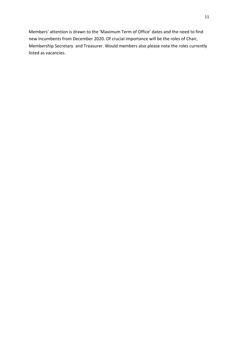Members' attention is drawn to the 'Maximum Term of Office' dates and the need to find new incumbents from December 2020. Of crucial importance will be the roles of Chair, Membership Secretary and Treasurer. Would members also please note the roles currently listed as vacancies.